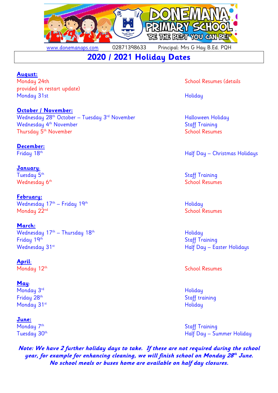

[www.donemanaps.com](http://www.donemanaps.com/) 02871398633 Principal: Mrs G Hay B.Ed. PQH

# **2020 / 2021 Holiday Dates**

# **August:**

provided in restart update) Monday 31st **Holiday** 

# **October / November:**

Wednesday 28<sup>th</sup> October – Tuesday 3<sup>rd</sup> November Halloween Holiday Wednesday 4<sup>th</sup> November Thursday 5<sup>th</sup> November

# **December:**

Friday 18th

# **January**:

Tuesday 5<sup>th</sup>

**February:** Wednesday 17<sup>th</sup> — Friday 19<sup>th</sup> Philosophia Philosophia Philosophia Holiday Monday 22<sup>nd</sup> School Resumes

#### **March:** Wednesday  $17<sup>th</sup>$  – Thursday  $18<sup>th</sup>$  extending the Holiday Holiday Friday 19th Staff Training Wednesday 31st Half Day – Easter Holidays

**April**:

# **May**:

Monday 3<sup>rd</sup> Holiday Friday 28<sup>th</sup> Monday 31<sup>st</sup> Holiday

# **June:**

Monday 7<sup>th</sup>

**Note: We have 2 further holiday days to take. If these are not required during the school year, for example for enhancing cleaning, we will finish school on Monday 28 th June. No school meals or buses home are available on half day closures.**

Monday 24th **School Resumes** (details

**Staff Training** School Resumes

Half Day – Christmas Holidays

 Staff Training Wednesday 6th School Resumes and School Resumes and School Resumes and School Resumes

Monday 12<sup>th</sup> School Resumes

Staff training

**Staff Training** Tuesday 30<sup>th</sup> Half Day – Summer Holiday – Tuesday 30<sup>th</sup> Half Day – Summer Holiday